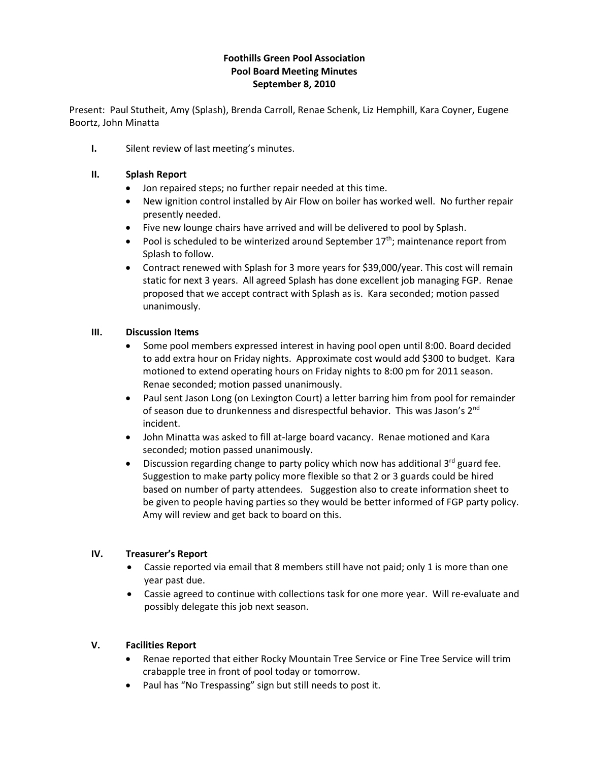# **Foothills Green Pool Association Pool Board Meeting Minutes September 8, 2010**

Present: Paul Stutheit, Amy (Splash), Brenda Carroll, Renae Schenk, Liz Hemphill, Kara Coyner, Eugene Boortz, John Minatta

**I.** Silent review of last meeting's minutes.

### **II. Splash Report**

- Jon repaired steps; no further repair needed at this time.
- New ignition control installed by Air Flow on boiler has worked well. No further repair presently needed.
- Five new lounge chairs have arrived and will be delivered to pool by Splash.
- Pool is scheduled to be winterized around September  $17<sup>th</sup>$ ; maintenance report from Splash to follow.
- Contract renewed with Splash for 3 more years for \$39,000/year. This cost will remain static for next 3 years. All agreed Splash has done excellent job managing FGP. Renae proposed that we accept contract with Splash as is. Kara seconded; motion passed unanimously.

### **III. Discussion Items**

- Some pool members expressed interest in having pool open until 8:00. Board decided to add extra hour on Friday nights. Approximate cost would add \$300 to budget. Kara motioned to extend operating hours on Friday nights to 8:00 pm for 2011 season. Renae seconded; motion passed unanimously.
- Paul sent Jason Long (on Lexington Court) a letter barring him from pool for remainder of season due to drunkenness and disrespectful behavior. This was Jason's 2<sup>nd</sup> incident.
- John Minatta was asked to fill at-large board vacancy. Renae motioned and Kara seconded; motion passed unanimously.
- Discussion regarding change to party policy which now has additional  $3<sup>rd</sup>$  guard fee. Suggestion to make party policy more flexible so that 2 or 3 guards could be hired based on number of party attendees. Suggestion also to create information sheet to be given to people having parties so they would be better informed of FGP party policy. Amy will review and get back to board on this.

# **IV. Treasurer's Report**

- Cassie reported via email that 8 members still have not paid; only 1 is more than one year past due.
- Cassie agreed to continue with collections task for one more year. Will re-evaluate and possibly delegate this job next season.

# **V. Facilities Report**

- Renae reported that either Rocky Mountain Tree Service or Fine Tree Service will trim crabapple tree in front of pool today or tomorrow.
- Paul has "No Trespassing" sign but still needs to post it.